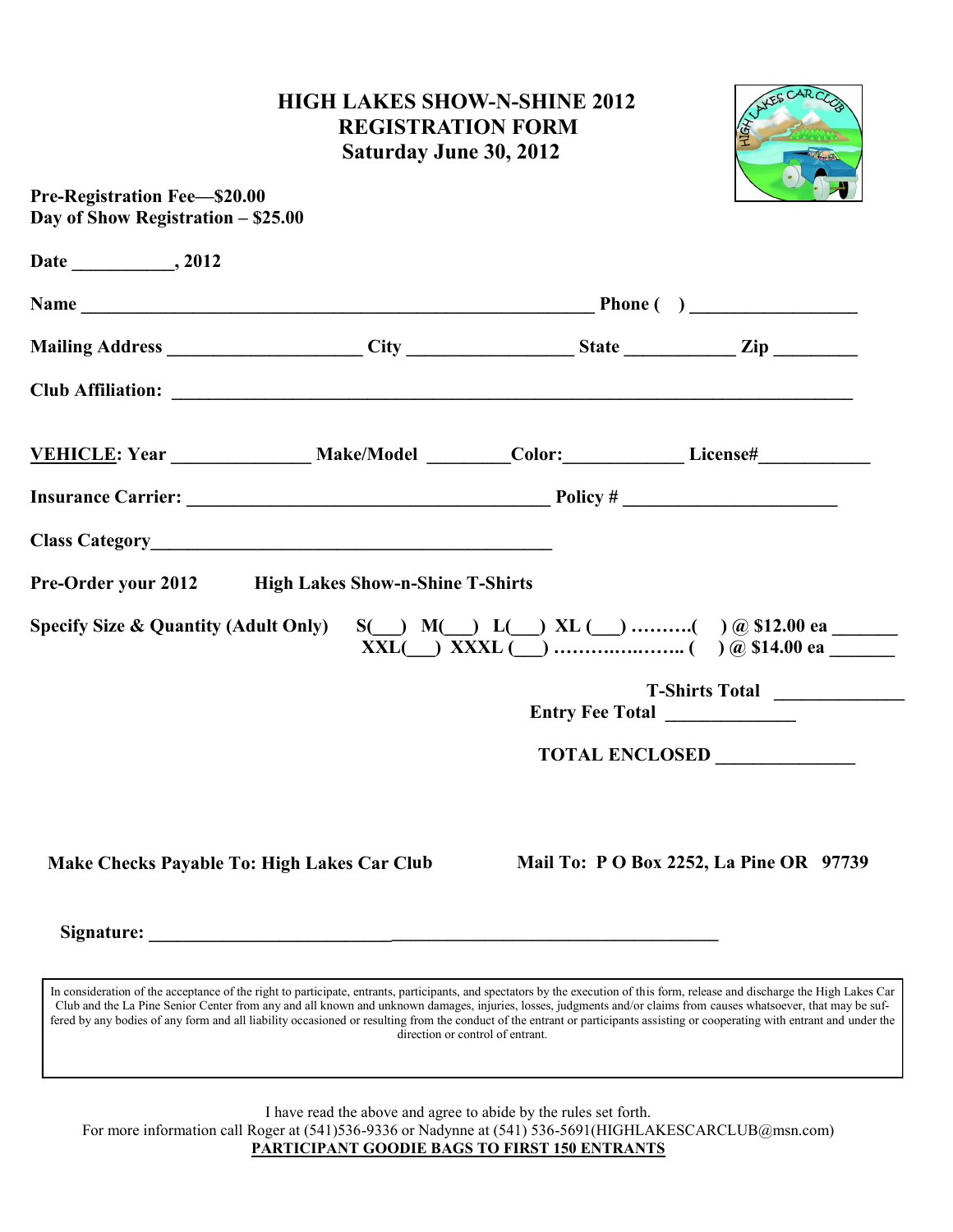## **HIGH LAKES SHOW-N-SHINE 2012 REGISTRATION FORM Saturday June 30, 2012**



| Day of Show Registration - \$25.00              | <b>Pre-Registration Fee-\$20.00</b>                  |  |                                                                                                                                                                                                                                                                                                                                                                                                                                                               |  |
|-------------------------------------------------|------------------------------------------------------|--|---------------------------------------------------------------------------------------------------------------------------------------------------------------------------------------------------------------------------------------------------------------------------------------------------------------------------------------------------------------------------------------------------------------------------------------------------------------|--|
|                                                 |                                                      |  |                                                                                                                                                                                                                                                                                                                                                                                                                                                               |  |
|                                                 |                                                      |  |                                                                                                                                                                                                                                                                                                                                                                                                                                                               |  |
|                                                 |                                                      |  | Mailing Address ______________________City __________________State ____________Zip _________________                                                                                                                                                                                                                                                                                                                                                          |  |
|                                                 |                                                      |  |                                                                                                                                                                                                                                                                                                                                                                                                                                                               |  |
|                                                 |                                                      |  | VEHICLE: Year Make/Model Color: License#                                                                                                                                                                                                                                                                                                                                                                                                                      |  |
|                                                 |                                                      |  |                                                                                                                                                                                                                                                                                                                                                                                                                                                               |  |
|                                                 |                                                      |  |                                                                                                                                                                                                                                                                                                                                                                                                                                                               |  |
|                                                 |                                                      |  |                                                                                                                                                                                                                                                                                                                                                                                                                                                               |  |
|                                                 | Pre-Order your 2012 High Lakes Show-n-Shine T-Shirts |  |                                                                                                                                                                                                                                                                                                                                                                                                                                                               |  |
|                                                 |                                                      |  | $\overline{\text{XXL}}$ $\overline{\text{XXL}}$ $\overline{\text{XXL}}$ $\overline{\text{XXL}}$ $\overline{\text{XXL}}$ $\overline{\text{XXL}}$ $\overline{\text{XXL}}$ $\overline{\text{XXL}}$ $\overline{\text{XXL}}$ $\overline{\text{XXL}}$ $\overline{\text{XXL}}$ $\overline{\text{XXL}}$ $\overline{\text{XXL}}$ $\overline{\text{XXL}}$ $\overline{\text{XXL}}$ $\overline{\text{XXL}}$ $\overline{\text{XXL}}$ $\overline{\text{XXL}}$ $\overline{\$ |  |
|                                                 |                                                      |  | Entry Fee Total ______________                                                                                                                                                                                                                                                                                                                                                                                                                                |  |
| <b>Specify Size &amp; Quantity (Adult Only)</b> |                                                      |  |                                                                                                                                                                                                                                                                                                                                                                                                                                                               |  |
| Make Checks Payable To: High Lakes Car Club     |                                                      |  | T-Shirts Total<br>Mail To: P O Box 2252, La Pine OR 97739                                                                                                                                                                                                                                                                                                                                                                                                     |  |

In consideration of the acceptance of the right to participate, entrants, participants, and spectators by the execution of this form, release and discharge the High Lakes Car Club and the La Pine Senior Center from any and all known and unknown damages, injuries, losses, judgments and/or claims from causes whatsoever, that may be suffered by any bodies of any form and all liability occasioned or resulting from the conduct of the entrant or participants assisting or cooperating with entrant and under the direction or control of entrant.

I have read the above and agree to abide by the rules set forth.

For more information call Roger at (541)536-9336 or Nadynne at (541) 536-5691(HIGHLAKESCARCLUB@msn.com) **PARTICIPANT GOODIE BAGS TO FIRST 150 ENTRANTS**